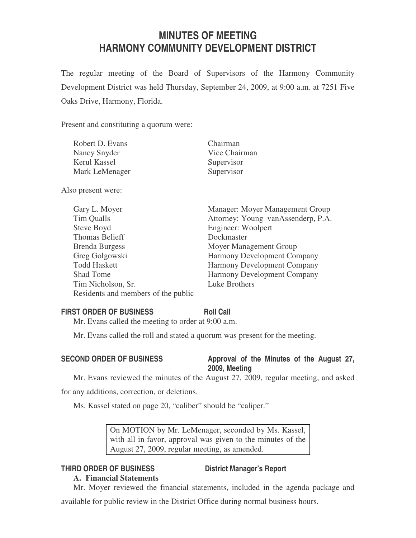# **MINUTES OF MEETING HARMONY COMMUNITY DEVELOPMENT DISTRICT**

The regular meeting of the Board of Supervisors of the Harmony Community Development District was held Thursday, September 24, 2009, at 9:00 a.m. at 7251 Five Oaks Drive, Harmony, Florida.

Present and constituting a quorum were:

| Robert D. Evans | Chairman      |
|-----------------|---------------|
| Nancy Snyder    | Vice Chairman |
| Kerul Kassel    | Supervisor    |
| Mark LeMenager  | Supervisor    |

Also present were:

| Gary L. Moyer                       | Manager: Moyer Management Group    |
|-------------------------------------|------------------------------------|
| Tim Qualls                          | Attorney: Young vanAssenderp, P.A. |
| Steve Boyd                          | Engineer: Woolpert                 |
| <b>Thomas Belieff</b>               | Dockmaster                         |
| <b>Brenda Burgess</b>               | Moyer Management Group             |
| Greg Golgowski                      | <b>Harmony Development Company</b> |
| <b>Todd Haskett</b>                 | <b>Harmony Development Company</b> |
| <b>Shad Tome</b>                    | <b>Harmony Development Company</b> |
| Tim Nicholson, Sr.                  | Luke Brothers                      |
| Residents and members of the public |                                    |

# **FIRST ORDER OF BUSINESS Roll Call**

Mr. Evans called the meeting to order at 9:00 a.m.

Mr. Evans called the roll and stated a quorum was present for the meeting.

# SECOND ORDER OF BUSINESS Approval of the Minutes of the August 27, **2009, Meeting**

Mr. Evans reviewed the minutes of the August 27, 2009, regular meeting, and asked

for any additions, correction, or deletions.

Ms. Kassel stated on page 20, "caliber" should be "caliper."

On MOTION by Mr. LeMenager, seconded by Ms. Kassel, with all in favor, approval was given to the minutes of the August 27, 2009, regular meeting, as amended.

# **THIRD ORDER OF BUSINESS District Manager's Report**

# **A. Financial Statements**

Mr. Moyer reviewed the financial statements, included in the agenda package and

available for public review in the District Office during normal business hours.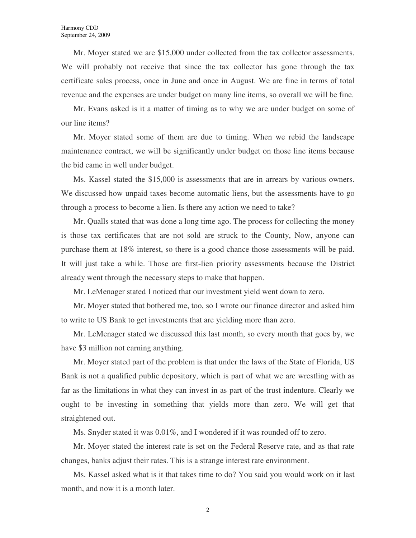Mr. Moyer stated we are \$15,000 under collected from the tax collector assessments. We will probably not receive that since the tax collector has gone through the tax certificate sales process, once in June and once in August. We are fine in terms of total revenue and the expenses are under budget on many line items, so overall we will be fine.

Mr. Evans asked is it a matter of timing as to why we are under budget on some of our line items?

Mr. Moyer stated some of them are due to timing. When we rebid the landscape maintenance contract, we will be significantly under budget on those line items because the bid came in well under budget.

Ms. Kassel stated the \$15,000 is assessments that are in arrears by various owners. We discussed how unpaid taxes become automatic liens, but the assessments have to go through a process to become a lien. Is there any action we need to take?

Mr. Qualls stated that was done a long time ago. The process for collecting the money is those tax certificates that are not sold are struck to the County, Now, anyone can purchase them at 18% interest, so there is a good chance those assessments will be paid. It will just take a while. Those are first-lien priority assessments because the District already went through the necessary steps to make that happen.

Mr. LeMenager stated I noticed that our investment yield went down to zero.

Mr. Moyer stated that bothered me, too, so I wrote our finance director and asked him to write to US Bank to get investments that are yielding more than zero.

Mr. LeMenager stated we discussed this last month, so every month that goes by, we have \$3 million not earning anything.

Mr. Moyer stated part of the problem is that under the laws of the State of Florida, US Bank is not a qualified public depository, which is part of what we are wrestling with as far as the limitations in what they can invest in as part of the trust indenture. Clearly we ought to be investing in something that yields more than zero. We will get that straightened out.

Ms. Snyder stated it was 0.01%, and I wondered if it was rounded off to zero.

Mr. Moyer stated the interest rate is set on the Federal Reserve rate, and as that rate changes, banks adjust their rates. This is a strange interest rate environment.

Ms. Kassel asked what is it that takes time to do? You said you would work on it last month, and now it is a month later.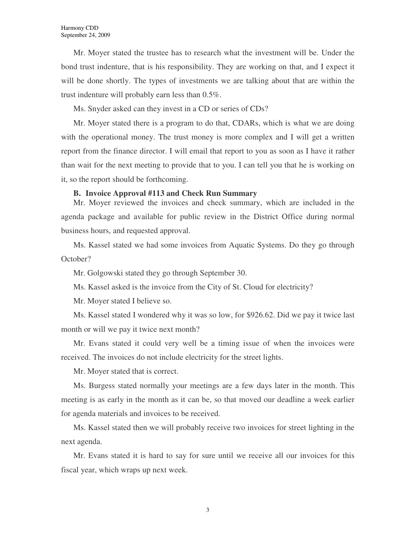Mr. Moyer stated the trustee has to research what the investment will be. Under the bond trust indenture, that is his responsibility. They are working on that, and I expect it will be done shortly. The types of investments we are talking about that are within the trust indenture will probably earn less than 0.5%.

Ms. Snyder asked can they invest in a CD or series of CDs?

Mr. Moyer stated there is a program to do that, CDARs, which is what we are doing with the operational money. The trust money is more complex and I will get a written report from the finance director. I will email that report to you as soon as I have it rather than wait for the next meeting to provide that to you. I can tell you that he is working on it, so the report should be forthcoming.

## **B. Invoice Approval #113 and Check Run Summary**

Mr. Moyer reviewed the invoices and check summary, which are included in the agenda package and available for public review in the District Office during normal business hours, and requested approval.

Ms. Kassel stated we had some invoices from Aquatic Systems. Do they go through October?

Mr. Golgowski stated they go through September 30.

Ms. Kassel asked is the invoice from the City of St. Cloud for electricity?

Mr. Moyer stated I believe so.

Ms. Kassel stated I wondered why it was so low, for \$926.62. Did we pay it twice last month or will we pay it twice next month?

Mr. Evans stated it could very well be a timing issue of when the invoices were received. The invoices do not include electricity for the street lights.

Mr. Moyer stated that is correct.

Ms. Burgess stated normally your meetings are a few days later in the month. This meeting is as early in the month as it can be, so that moved our deadline a week earlier for agenda materials and invoices to be received.

Ms. Kassel stated then we will probably receive two invoices for street lighting in the next agenda.

Mr. Evans stated it is hard to say for sure until we receive all our invoices for this fiscal year, which wraps up next week.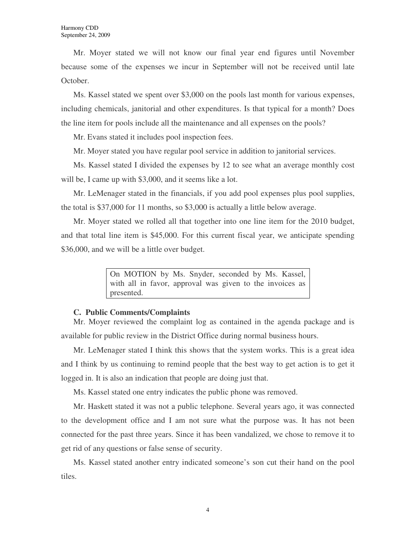Mr. Moyer stated we will not know our final year end figures until November because some of the expenses we incur in September will not be received until late October.

Ms. Kassel stated we spent over \$3,000 on the pools last month for various expenses, including chemicals, janitorial and other expenditures. Is that typical for a month? Does the line item for pools include all the maintenance and all expenses on the pools?

Mr. Evans stated it includes pool inspection fees.

Mr. Moyer stated you have regular pool service in addition to janitorial services.

Ms. Kassel stated I divided the expenses by 12 to see what an average monthly cost will be, I came up with \$3,000, and it seems like a lot.

Mr. LeMenager stated in the financials, if you add pool expenses plus pool supplies, the total is \$37,000 for 11 months, so \$3,000 is actually a little below average.

Mr. Moyer stated we rolled all that together into one line item for the 2010 budget, and that total line item is \$45,000. For this current fiscal year, we anticipate spending \$36,000, and we will be a little over budget.

> On MOTION by Ms. Snyder, seconded by Ms. Kassel, with all in favor, approval was given to the invoices as presented.

#### **C. Public Comments/Complaints**

Mr. Moyer reviewed the complaint log as contained in the agenda package and is available for public review in the District Office during normal business hours.

Mr. LeMenager stated I think this shows that the system works. This is a great idea and I think by us continuing to remind people that the best way to get action is to get it logged in. It is also an indication that people are doing just that.

Ms. Kassel stated one entry indicates the public phone was removed.

Mr. Haskett stated it was not a public telephone. Several years ago, it was connected to the development office and I am not sure what the purpose was. It has not been connected for the past three years. Since it has been vandalized, we chose to remove it to get rid of any questions or false sense of security.

Ms. Kassel stated another entry indicated someone's son cut their hand on the pool tiles.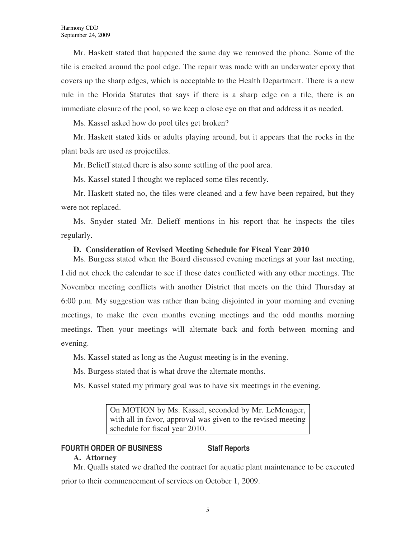Mr. Haskett stated that happened the same day we removed the phone. Some of the tile is cracked around the pool edge. The repair was made with an underwater epoxy that covers up the sharp edges, which is acceptable to the Health Department. There is a new rule in the Florida Statutes that says if there is a sharp edge on a tile, there is an immediate closure of the pool, so we keep a close eye on that and address it as needed.

Ms. Kassel asked how do pool tiles get broken?

Mr. Haskett stated kids or adults playing around, but it appears that the rocks in the plant beds are used as projectiles.

Mr. Belieff stated there is also some settling of the pool area.

Ms. Kassel stated I thought we replaced some tiles recently.

Mr. Haskett stated no, the tiles were cleaned and a few have been repaired, but they were not replaced.

Ms. Snyder stated Mr. Belieff mentions in his report that he inspects the tiles regularly.

## **D. Consideration of Revised Meeting Schedule for Fiscal Year 2010**

Ms. Burgess stated when the Board discussed evening meetings at your last meeting, I did not check the calendar to see if those dates conflicted with any other meetings. The November meeting conflicts with another District that meets on the third Thursday at 6:00 p.m. My suggestion was rather than being disjointed in your morning and evening meetings, to make the even months evening meetings and the odd months morning meetings. Then your meetings will alternate back and forth between morning and evening.

Ms. Kassel stated as long as the August meeting is in the evening.

Ms. Burgess stated that is what drove the alternate months.

Ms. Kassel stated my primary goal was to have six meetings in the evening.

On MOTION by Ms. Kassel, seconded by Mr. LeMenager, with all in favor, approval was given to the revised meeting schedule for fiscal year 2010.

# **FOURTH ORDER OF BUSINESS Staff Reports**

# **A. Attorney**

Mr. Qualls stated we drafted the contract for aquatic plant maintenance to be executed prior to their commencement of services on October 1, 2009.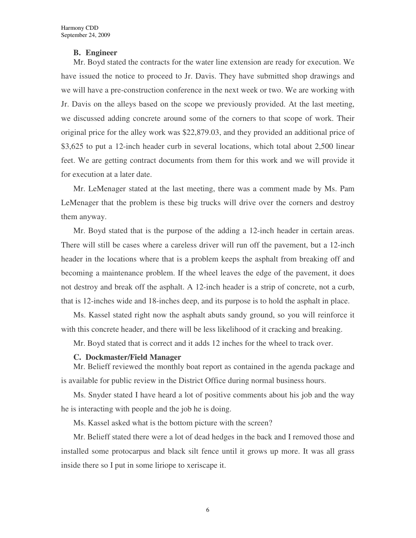# **B. Engineer**

Mr. Boyd stated the contracts for the water line extension are ready for execution. We have issued the notice to proceed to Jr. Davis. They have submitted shop drawings and we will have a pre-construction conference in the next week or two. We are working with Jr. Davis on the alleys based on the scope we previously provided. At the last meeting, we discussed adding concrete around some of the corners to that scope of work. Their original price for the alley work was \$22,879.03, and they provided an additional price of \$3,625 to put a 12-inch header curb in several locations, which total about 2,500 linear feet. We are getting contract documents from them for this work and we will provide it for execution at a later date.

Mr. LeMenager stated at the last meeting, there was a comment made by Ms. Pam LeMenager that the problem is these big trucks will drive over the corners and destroy them anyway.

Mr. Boyd stated that is the purpose of the adding a 12-inch header in certain areas. There will still be cases where a careless driver will run off the pavement, but a 12-inch header in the locations where that is a problem keeps the asphalt from breaking off and becoming a maintenance problem. If the wheel leaves the edge of the pavement, it does not destroy and break off the asphalt. A 12-inch header is a strip of concrete, not a curb, that is 12-inches wide and 18-inches deep, and its purpose is to hold the asphalt in place.

Ms. Kassel stated right now the asphalt abuts sandy ground, so you will reinforce it with this concrete header, and there will be less likelihood of it cracking and breaking.

Mr. Boyd stated that is correct and it adds 12 inches for the wheel to track over.

## **C. Dockmaster/Field Manager**

Mr. Belieff reviewed the monthly boat report as contained in the agenda package and is available for public review in the District Office during normal business hours.

Ms. Snyder stated I have heard a lot of positive comments about his job and the way he is interacting with people and the job he is doing.

Ms. Kassel asked what is the bottom picture with the screen?

Mr. Belieff stated there were a lot of dead hedges in the back and I removed those and installed some protocarpus and black silt fence until it grows up more. It was all grass inside there so I put in some liriope to xeriscape it.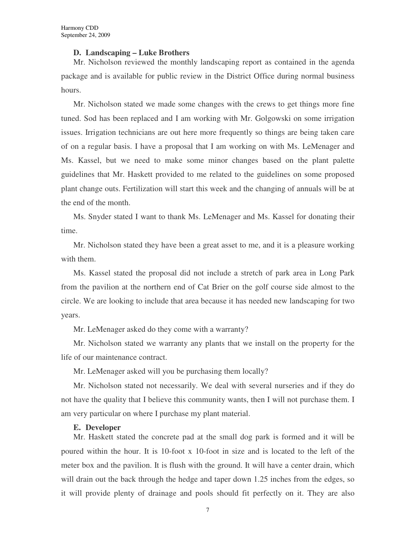#### **D. Landscaping – Luke Brothers**

Mr. Nicholson reviewed the monthly landscaping report as contained in the agenda package and is available for public review in the District Office during normal business hours.

Mr. Nicholson stated we made some changes with the crews to get things more fine tuned. Sod has been replaced and I am working with Mr. Golgowski on some irrigation issues. Irrigation technicians are out here more frequently so things are being taken care of on a regular basis. I have a proposal that I am working on with Ms. LeMenager and Ms. Kassel, but we need to make some minor changes based on the plant palette guidelines that Mr. Haskett provided to me related to the guidelines on some proposed plant change outs. Fertilization will start this week and the changing of annuals will be at the end of the month.

Ms. Snyder stated I want to thank Ms. LeMenager and Ms. Kassel for donating their time.

Mr. Nicholson stated they have been a great asset to me, and it is a pleasure working with them.

Ms. Kassel stated the proposal did not include a stretch of park area in Long Park from the pavilion at the northern end of Cat Brier on the golf course side almost to the circle. We are looking to include that area because it has needed new landscaping for two years.

Mr. LeMenager asked do they come with a warranty?

Mr. Nicholson stated we warranty any plants that we install on the property for the life of our maintenance contract.

Mr. LeMenager asked will you be purchasing them locally?

Mr. Nicholson stated not necessarily. We deal with several nurseries and if they do not have the quality that I believe this community wants, then I will not purchase them. I am very particular on where I purchase my plant material.

## **E. Developer**

Mr. Haskett stated the concrete pad at the small dog park is formed and it will be poured within the hour. It is 10-foot x 10-foot in size and is located to the left of the meter box and the pavilion. It is flush with the ground. It will have a center drain, which will drain out the back through the hedge and taper down 1.25 inches from the edges, so it will provide plenty of drainage and pools should fit perfectly on it. They are also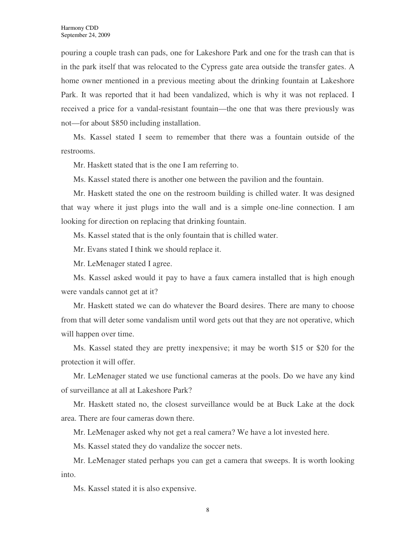pouring a couple trash can pads, one for Lakeshore Park and one for the trash can that is in the park itself that was relocated to the Cypress gate area outside the transfer gates. A home owner mentioned in a previous meeting about the drinking fountain at Lakeshore Park. It was reported that it had been vandalized, which is why it was not replaced. I received a price for a vandal-resistant fountain—the one that was there previously was not—for about \$850 including installation.

Ms. Kassel stated I seem to remember that there was a fountain outside of the restrooms.

Mr. Haskett stated that is the one I am referring to.

Ms. Kassel stated there is another one between the pavilion and the fountain.

Mr. Haskett stated the one on the restroom building is chilled water. It was designed that way where it just plugs into the wall and is a simple one-line connection. I am looking for direction on replacing that drinking fountain.

Ms. Kassel stated that is the only fountain that is chilled water.

Mr. Evans stated I think we should replace it.

Mr. LeMenager stated I agree.

Ms. Kassel asked would it pay to have a faux camera installed that is high enough were vandals cannot get at it?

Mr. Haskett stated we can do whatever the Board desires. There are many to choose from that will deter some vandalism until word gets out that they are not operative, which will happen over time.

Ms. Kassel stated they are pretty inexpensive; it may be worth \$15 or \$20 for the protection it will offer.

Mr. LeMenager stated we use functional cameras at the pools. Do we have any kind of surveillance at all at Lakeshore Park?

Mr. Haskett stated no, the closest surveillance would be at Buck Lake at the dock area. There are four cameras down there.

Mr. LeMenager asked why not get a real camera? We have a lot invested here.

Ms. Kassel stated they do vandalize the soccer nets.

Mr. LeMenager stated perhaps you can get a camera that sweeps. It is worth looking into.

Ms. Kassel stated it is also expensive.

8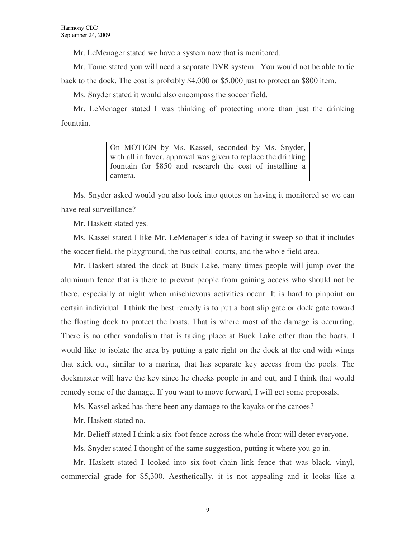Mr. LeMenager stated we have a system now that is monitored.

Mr. Tome stated you will need a separate DVR system. You would not be able to tie back to the dock. The cost is probably \$4,000 or \$5,000 just to protect an \$800 item.

Ms. Snyder stated it would also encompass the soccer field.

Mr. LeMenager stated I was thinking of protecting more than just the drinking fountain.

> On MOTION by Ms. Kassel, seconded by Ms. Snyder, with all in favor, approval was given to replace the drinking fountain for \$850 and research the cost of installing a camera.

Ms. Snyder asked would you also look into quotes on having it monitored so we can have real surveillance?

Mr. Haskett stated yes.

Ms. Kassel stated I like Mr. LeMenager's idea of having it sweep so that it includes the soccer field, the playground, the basketball courts, and the whole field area.

Mr. Haskett stated the dock at Buck Lake, many times people will jump over the aluminum fence that is there to prevent people from gaining access who should not be there, especially at night when mischievous activities occur. It is hard to pinpoint on certain individual. I think the best remedy is to put a boat slip gate or dock gate toward the floating dock to protect the boats. That is where most of the damage is occurring. There is no other vandalism that is taking place at Buck Lake other than the boats. I would like to isolate the area by putting a gate right on the dock at the end with wings that stick out, similar to a marina, that has separate key access from the pools. The dockmaster will have the key since he checks people in and out, and I think that would remedy some of the damage. If you want to move forward, I will get some proposals.

Ms. Kassel asked has there been any damage to the kayaks or the canoes?

Mr. Haskett stated no.

Mr. Belieff stated I think a six-foot fence across the whole front will deter everyone.

Ms. Snyder stated I thought of the same suggestion, putting it where you go in.

Mr. Haskett stated I looked into six-foot chain link fence that was black, vinyl, commercial grade for \$5,300. Aesthetically, it is not appealing and it looks like a

9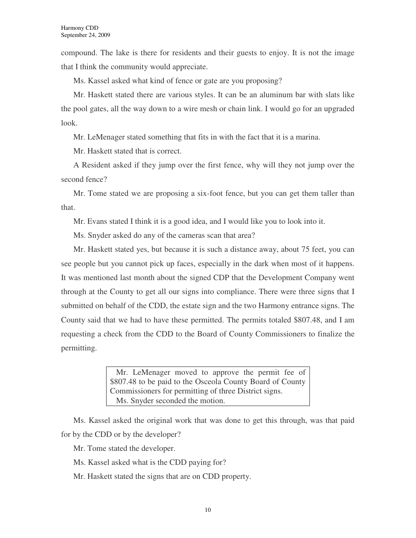compound. The lake is there for residents and their guests to enjoy. It is not the image that I think the community would appreciate.

Ms. Kassel asked what kind of fence or gate are you proposing?

Mr. Haskett stated there are various styles. It can be an aluminum bar with slats like the pool gates, all the way down to a wire mesh or chain link. I would go for an upgraded look.

Mr. LeMenager stated something that fits in with the fact that it is a marina.

Mr. Haskett stated that is correct.

A Resident asked if they jump over the first fence, why will they not jump over the second fence?

Mr. Tome stated we are proposing a six-foot fence, but you can get them taller than that.

Mr. Evans stated I think it is a good idea, and I would like you to look into it.

Ms. Snyder asked do any of the cameras scan that area?

Mr. Haskett stated yes, but because it is such a distance away, about 75 feet, you can see people but you cannot pick up faces, especially in the dark when most of it happens. It was mentioned last month about the signed CDP that the Development Company went through at the County to get all our signs into compliance. There were three signs that I submitted on behalf of the CDD, the estate sign and the two Harmony entrance signs. The County said that we had to have these permitted. The permits totaled \$807.48, and I am requesting a check from the CDD to the Board of County Commissioners to finalize the permitting.

> Mr. LeMenager moved to approve the permit fee of \$807.48 to be paid to the Osceola County Board of County Commissioners for permitting of three District signs. Ms. Snyder seconded the motion.

Ms. Kassel asked the original work that was done to get this through, was that paid for by the CDD or by the developer?

Mr. Tome stated the developer.

- Ms. Kassel asked what is the CDD paying for?
- Mr. Haskett stated the signs that are on CDD property.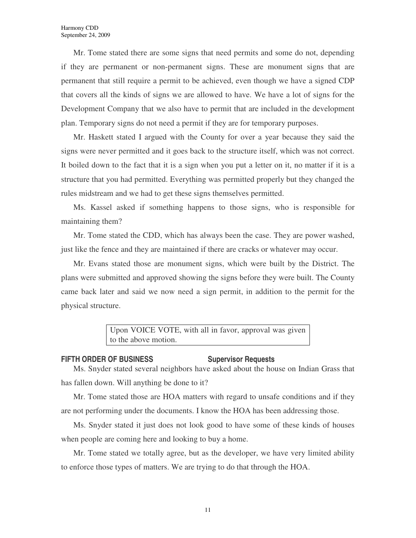Mr. Tome stated there are some signs that need permits and some do not, depending if they are permanent or non-permanent signs. These are monument signs that are permanent that still require a permit to be achieved, even though we have a signed CDP that covers all the kinds of signs we are allowed to have. We have a lot of signs for the Development Company that we also have to permit that are included in the development plan. Temporary signs do not need a permit if they are for temporary purposes.

Mr. Haskett stated I argued with the County for over a year because they said the signs were never permitted and it goes back to the structure itself, which was not correct. It boiled down to the fact that it is a sign when you put a letter on it, no matter if it is a structure that you had permitted. Everything was permitted properly but they changed the rules midstream and we had to get these signs themselves permitted.

Ms. Kassel asked if something happens to those signs, who is responsible for maintaining them?

Mr. Tome stated the CDD, which has always been the case. They are power washed, just like the fence and they are maintained if there are cracks or whatever may occur.

Mr. Evans stated those are monument signs, which were built by the District. The plans were submitted and approved showing the signs before they were built. The County came back later and said we now need a sign permit, in addition to the permit for the physical structure.

> Upon VOICE VOTE, with all in favor, approval was given to the above motion.

#### **FIFTH ORDER OF BUSINESS Supervisor Requests**

Ms. Snyder stated several neighbors have asked about the house on Indian Grass that has fallen down. Will anything be done to it?

Mr. Tome stated those are HOA matters with regard to unsafe conditions and if they are not performing under the documents. I know the HOA has been addressing those.

Ms. Snyder stated it just does not look good to have some of these kinds of houses when people are coming here and looking to buy a home.

Mr. Tome stated we totally agree, but as the developer, we have very limited ability to enforce those types of matters. We are trying to do that through the HOA.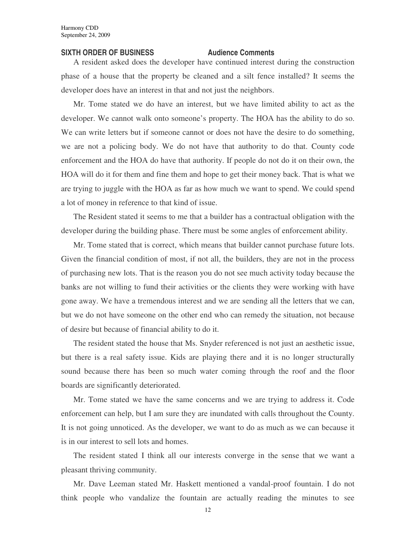#### **SIXTH ORDER OF BUSINESS Audience Comments**

A resident asked does the developer have continued interest during the construction phase of a house that the property be cleaned and a silt fence installed? It seems the developer does have an interest in that and not just the neighbors.

Mr. Tome stated we do have an interest, but we have limited ability to act as the developer. We cannot walk onto someone's property. The HOA has the ability to do so. We can write letters but if someone cannot or does not have the desire to do something, we are not a policing body. We do not have that authority to do that. County code enforcement and the HOA do have that authority. If people do not do it on their own, the HOA will do it for them and fine them and hope to get their money back. That is what we are trying to juggle with the HOA as far as how much we want to spend. We could spend a lot of money in reference to that kind of issue.

The Resident stated it seems to me that a builder has a contractual obligation with the developer during the building phase. There must be some angles of enforcement ability.

Mr. Tome stated that is correct, which means that builder cannot purchase future lots. Given the financial condition of most, if not all, the builders, they are not in the process of purchasing new lots. That is the reason you do not see much activity today because the banks are not willing to fund their activities or the clients they were working with have gone away. We have a tremendous interest and we are sending all the letters that we can, but we do not have someone on the other end who can remedy the situation, not because of desire but because of financial ability to do it.

The resident stated the house that Ms. Snyder referenced is not just an aesthetic issue, but there is a real safety issue. Kids are playing there and it is no longer structurally sound because there has been so much water coming through the roof and the floor boards are significantly deteriorated.

Mr. Tome stated we have the same concerns and we are trying to address it. Code enforcement can help, but I am sure they are inundated with calls throughout the County. It is not going unnoticed. As the developer, we want to do as much as we can because it is in our interest to sell lots and homes.

The resident stated I think all our interests converge in the sense that we want a pleasant thriving community.

Mr. Dave Leeman stated Mr. Haskett mentioned a vandal-proof fountain. I do not think people who vandalize the fountain are actually reading the minutes to see

12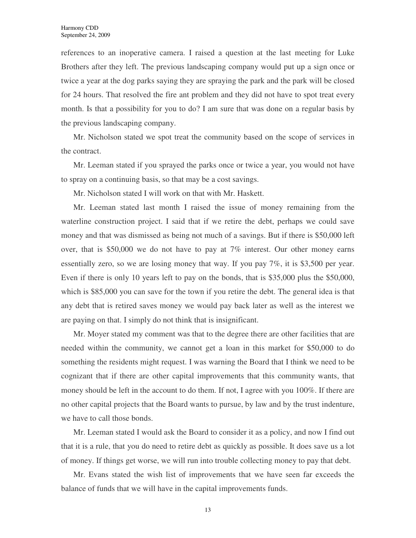references to an inoperative camera. I raised a question at the last meeting for Luke Brothers after they left. The previous landscaping company would put up a sign once or twice a year at the dog parks saying they are spraying the park and the park will be closed for 24 hours. That resolved the fire ant problem and they did not have to spot treat every month. Is that a possibility for you to do? I am sure that was done on a regular basis by the previous landscaping company.

Mr. Nicholson stated we spot treat the community based on the scope of services in the contract.

Mr. Leeman stated if you sprayed the parks once or twice a year, you would not have to spray on a continuing basis, so that may be a cost savings.

Mr. Nicholson stated I will work on that with Mr. Haskett.

Mr. Leeman stated last month I raised the issue of money remaining from the waterline construction project. I said that if we retire the debt, perhaps we could save money and that was dismissed as being not much of a savings. But if there is \$50,000 left over, that is \$50,000 we do not have to pay at 7% interest. Our other money earns essentially zero, so we are losing money that way. If you pay 7%, it is \$3,500 per year. Even if there is only 10 years left to pay on the bonds, that is \$35,000 plus the \$50,000, which is \$85,000 you can save for the town if you retire the debt. The general idea is that any debt that is retired saves money we would pay back later as well as the interest we are paying on that. I simply do not think that is insignificant.

Mr. Moyer stated my comment was that to the degree there are other facilities that are needed within the community, we cannot get a loan in this market for \$50,000 to do something the residents might request. I was warning the Board that I think we need to be cognizant that if there are other capital improvements that this community wants, that money should be left in the account to do them. If not, I agree with you 100%. If there are no other capital projects that the Board wants to pursue, by law and by the trust indenture, we have to call those bonds.

Mr. Leeman stated I would ask the Board to consider it as a policy, and now I find out that it is a rule, that you do need to retire debt as quickly as possible. It does save us a lot of money. If things get worse, we will run into trouble collecting money to pay that debt.

Mr. Evans stated the wish list of improvements that we have seen far exceeds the balance of funds that we will have in the capital improvements funds.